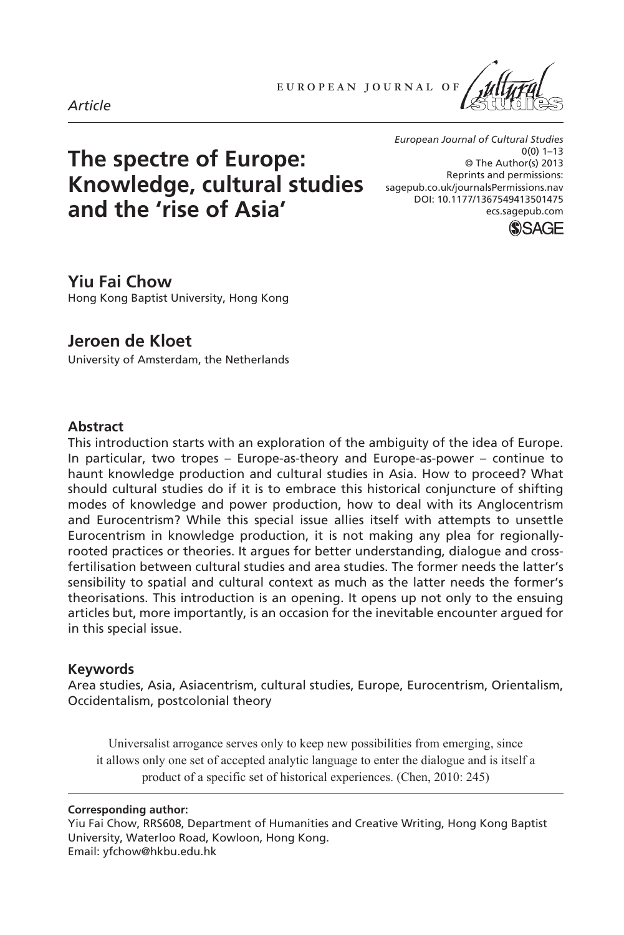european journal of



# **The spectre of Europe: Knowledge, cultural studies and the 'rise of Asia'**

*European Journal of Cultural Studies* 0(0) 1–13 © The Author(s) 2013 Reprints and permissions: sagepub.co.uk/journalsPermissions.nav DOI: 10.1177/1367549413501475 ecs.sagepub.com



# **Yiu Fai Chow**

Hong Kong Baptist University, Hong Kong

# **Jeroen de Kloet**

University of Amsterdam, the Netherlands

#### **Abstract**

This introduction starts with an exploration of the ambiguity of the idea of Europe. In particular, two tropes – Europe-as-theory and Europe-as-power – continue to haunt knowledge production and cultural studies in Asia. How to proceed? What should cultural studies do if it is to embrace this historical conjuncture of shifting modes of knowledge and power production, how to deal with its Anglocentrism and Eurocentrism? While this special issue allies itself with attempts to unsettle Eurocentrism in knowledge production, it is not making any plea for regionallyrooted practices or theories. It argues for better understanding, dialogue and crossfertilisation between cultural studies and area studies. The former needs the latter's sensibility to spatial and cultural context as much as the latter needs the former's theorisations. This introduction is an opening. It opens up not only to the ensuing articles but, more importantly, is an occasion for the inevitable encounter argued for in this special issue.

#### **Keywords**

Area studies, Asia, Asiacentrism, cultural studies, Europe, Eurocentrism, Orientalism, Occidentalism, postcolonial theory

Universalist arrogance serves only to keep new possibilities from emerging, since it allows only one set of accepted analytic language to enter the dialogue and is itself a product of a specific set of historical experiences. (Chen, 2010: 245)

#### **Corresponding author:**

Yiu Fai Chow, RRS608, Department of Humanities and Creative Writing, Hong Kong Baptist University, Waterloo Road, Kowloon, Hong Kong. Email: yfchow@hkbu.edu.hk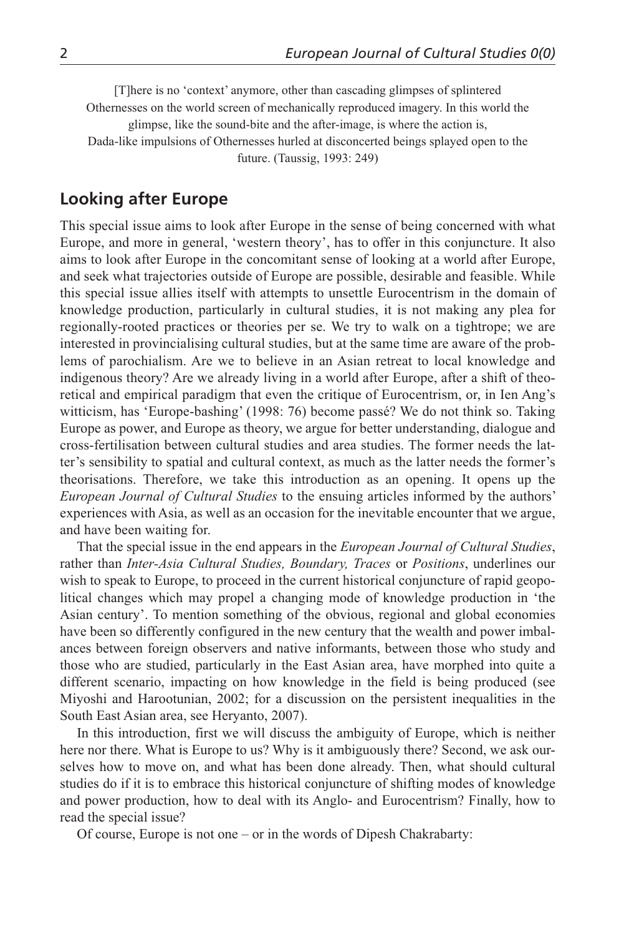[T]here is no 'context' anymore, other than cascading glimpses of splintered Othernesses on the world screen of mechanically reproduced imagery. In this world the glimpse, like the sound-bite and the after-image, is where the action is, Dada-like impulsions of Othernesses hurled at disconcerted beings splayed open to the future. (Taussig, 1993: 249)

## **Looking after Europe**

This special issue aims to look after Europe in the sense of being concerned with what Europe, and more in general, 'western theory', has to offer in this conjuncture. It also aims to look after Europe in the concomitant sense of looking at a world after Europe, and seek what trajectories outside of Europe are possible, desirable and feasible. While this special issue allies itself with attempts to unsettle Eurocentrism in the domain of knowledge production, particularly in cultural studies, it is not making any plea for regionally-rooted practices or theories per se. We try to walk on a tightrope; we are interested in provincialising cultural studies, but at the same time are aware of the problems of parochialism. Are we to believe in an Asian retreat to local knowledge and indigenous theory? Are we already living in a world after Europe, after a shift of theoretical and empirical paradigm that even the critique of Eurocentrism, or, in Ien Ang's witticism, has 'Europe-bashing' (1998: 76) become passé? We do not think so. Taking Europe as power, and Europe as theory, we argue for better understanding, dialogue and cross-fertilisation between cultural studies and area studies. The former needs the latter's sensibility to spatial and cultural context, as much as the latter needs the former's theorisations. Therefore, we take this introduction as an opening. It opens up the *European Journal of Cultural Studies* to the ensuing articles informed by the authors' experiences with Asia, as well as an occasion for the inevitable encounter that we argue, and have been waiting for.

That the special issue in the end appears in the *European Journal of Cultural Studies*, rather than *Inter-Asia Cultural Studies, Boundary, Traces* or *Positions*, underlines our wish to speak to Europe, to proceed in the current historical conjuncture of rapid geopolitical changes which may propel a changing mode of knowledge production in 'the Asian century'. To mention something of the obvious, regional and global economies have been so differently configured in the new century that the wealth and power imbalances between foreign observers and native informants, between those who study and those who are studied, particularly in the East Asian area, have morphed into quite a different scenario, impacting on how knowledge in the field is being produced (see Miyoshi and Harootunian, 2002; for a discussion on the persistent inequalities in the South East Asian area, see Heryanto, 2007).

In this introduction, first we will discuss the ambiguity of Europe, which is neither here nor there. What is Europe to us? Why is it ambiguously there? Second, we ask ourselves how to move on, and what has been done already. Then, what should cultural studies do if it is to embrace this historical conjuncture of shifting modes of knowledge and power production, how to deal with its Anglo- and Eurocentrism? Finally, how to read the special issue?

Of course, Europe is not one – or in the words of Dipesh Chakrabarty: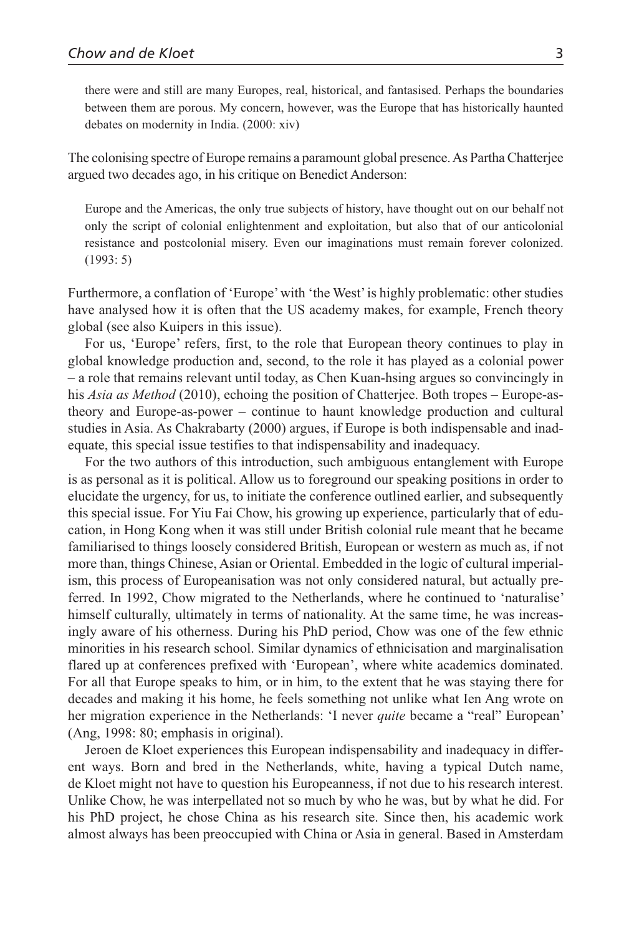there were and still are many Europes, real, historical, and fantasised. Perhaps the boundaries between them are porous. My concern, however, was the Europe that has historically haunted debates on modernity in India. (2000: xiv)

The colonising spectre of Europe remains a paramount global presence. As Partha Chatterjee argued two decades ago, in his critique on Benedict Anderson:

Europe and the Americas, the only true subjects of history, have thought out on our behalf not only the script of colonial enlightenment and exploitation, but also that of our anticolonial resistance and postcolonial misery. Even our imaginations must remain forever colonized. (1993: 5)

Furthermore, a conflation of 'Europe' with 'the West' is highly problematic: other studies have analysed how it is often that the US academy makes, for example, French theory global (see also Kuipers in this issue).

For us, 'Europe' refers, first, to the role that European theory continues to play in global knowledge production and, second, to the role it has played as a colonial power – a role that remains relevant until today, as Chen Kuan-hsing argues so convincingly in his *Asia as Method* (2010), echoing the position of Chatterjee. Both tropes – Europe-astheory and Europe-as-power – continue to haunt knowledge production and cultural studies in Asia. As Chakrabarty (2000) argues, if Europe is both indispensable and inadequate, this special issue testifies to that indispensability and inadequacy.

For the two authors of this introduction, such ambiguous entanglement with Europe is as personal as it is political. Allow us to foreground our speaking positions in order to elucidate the urgency, for us, to initiate the conference outlined earlier, and subsequently this special issue. For Yiu Fai Chow, his growing up experience, particularly that of education, in Hong Kong when it was still under British colonial rule meant that he became familiarised to things loosely considered British, European or western as much as, if not more than, things Chinese, Asian or Oriental. Embedded in the logic of cultural imperialism, this process of Europeanisation was not only considered natural, but actually preferred. In 1992, Chow migrated to the Netherlands, where he continued to 'naturalise' himself culturally, ultimately in terms of nationality. At the same time, he was increasingly aware of his otherness. During his PhD period, Chow was one of the few ethnic minorities in his research school. Similar dynamics of ethnicisation and marginalisation flared up at conferences prefixed with 'European', where white academics dominated. For all that Europe speaks to him, or in him, to the extent that he was staying there for decades and making it his home, he feels something not unlike what Ien Ang wrote on her migration experience in the Netherlands: 'I never *quite* became a "real" European' (Ang, 1998: 80; emphasis in original).

Jeroen de Kloet experiences this European indispensability and inadequacy in different ways. Born and bred in the Netherlands, white, having a typical Dutch name, de Kloet might not have to question his Europeanness, if not due to his research interest. Unlike Chow, he was interpellated not so much by who he was, but by what he did. For his PhD project, he chose China as his research site. Since then, his academic work almost always has been preoccupied with China or Asia in general. Based in Amsterdam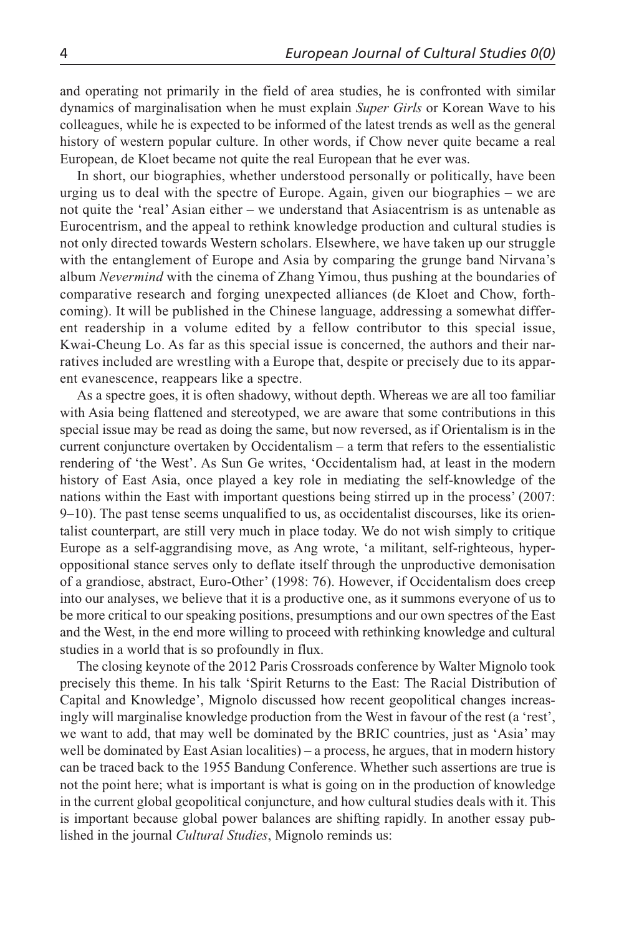and operating not primarily in the field of area studies, he is confronted with similar dynamics of marginalisation when he must explain *Super Girls* or Korean Wave to his colleagues, while he is expected to be informed of the latest trends as well as the general history of western popular culture. In other words, if Chow never quite became a real European, de Kloet became not quite the real European that he ever was.

In short, our biographies, whether understood personally or politically, have been urging us to deal with the spectre of Europe. Again, given our biographies – we are not quite the 'real' Asian either – we understand that Asiacentrism is as untenable as Eurocentrism, and the appeal to rethink knowledge production and cultural studies is not only directed towards Western scholars. Elsewhere, we have taken up our struggle with the entanglement of Europe and Asia by comparing the grunge band Nirvana's album *Nevermind* with the cinema of Zhang Yimou, thus pushing at the boundaries of comparative research and forging unexpected alliances (de Kloet and Chow, forthcoming). It will be published in the Chinese language, addressing a somewhat different readership in a volume edited by a fellow contributor to this special issue, Kwai-Cheung Lo. As far as this special issue is concerned, the authors and their narratives included are wrestling with a Europe that, despite or precisely due to its apparent evanescence, reappears like a spectre.

As a spectre goes, it is often shadowy, without depth. Whereas we are all too familiar with Asia being flattened and stereotyped, we are aware that some contributions in this special issue may be read as doing the same, but now reversed, as if Orientalism is in the current conjuncture overtaken by Occidentalism – a term that refers to the essentialistic rendering of 'the West'. As Sun Ge writes, 'Occidentalism had, at least in the modern history of East Asia, once played a key role in mediating the self-knowledge of the nations within the East with important questions being stirred up in the process' (2007: 9–10). The past tense seems unqualified to us, as occidentalist discourses, like its orientalist counterpart, are still very much in place today. We do not wish simply to critique Europe as a self-aggrandising move, as Ang wrote, 'a militant, self-righteous, hyperoppositional stance serves only to deflate itself through the unproductive demonisation of a grandiose, abstract, Euro-Other' (1998: 76). However, if Occidentalism does creep into our analyses, we believe that it is a productive one, as it summons everyone of us to be more critical to our speaking positions, presumptions and our own spectres of the East and the West, in the end more willing to proceed with rethinking knowledge and cultural studies in a world that is so profoundly in flux.

The closing keynote of the 2012 Paris Crossroads conference by Walter Mignolo took precisely this theme. In his talk 'Spirit Returns to the East: The Racial Distribution of Capital and Knowledge', Mignolo discussed how recent geopolitical changes increasingly will marginalise knowledge production from the West in favour of the rest (a 'rest', we want to add, that may well be dominated by the BRIC countries, just as 'Asia' may well be dominated by East Asian localities) – a process, he argues, that in modern history can be traced back to the 1955 Bandung Conference. Whether such assertions are true is not the point here; what is important is what is going on in the production of knowledge in the current global geopolitical conjuncture, and how cultural studies deals with it. This is important because global power balances are shifting rapidly. In another essay published in the journal *Cultural Studies*, Mignolo reminds us: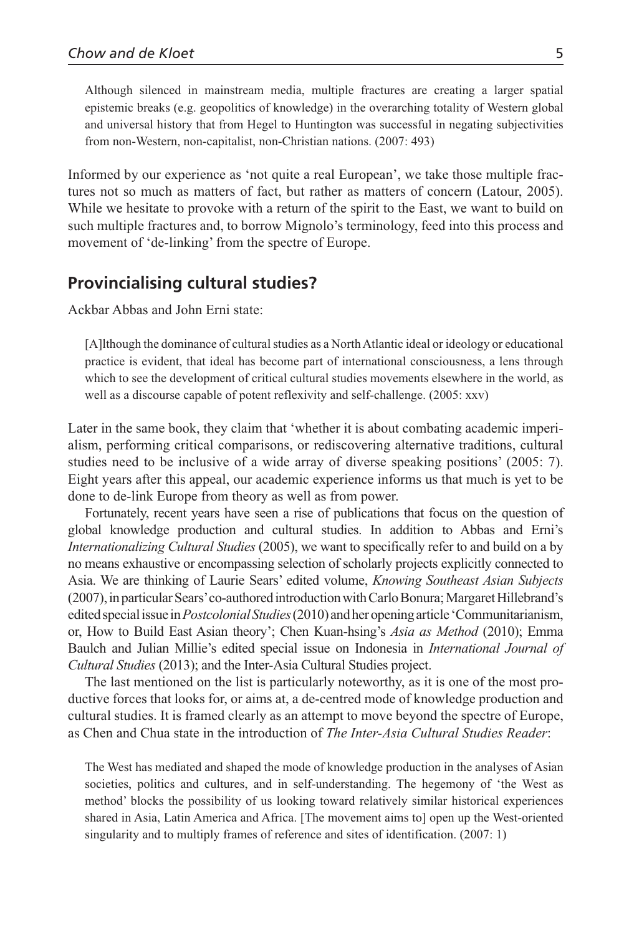Although silenced in mainstream media, multiple fractures are creating a larger spatial epistemic breaks (e.g. geopolitics of knowledge) in the overarching totality of Western global and universal history that from Hegel to Huntington was successful in negating subjectivities from non-Western, non-capitalist, non-Christian nations. (2007: 493)

Informed by our experience as 'not quite a real European', we take those multiple fractures not so much as matters of fact, but rather as matters of concern (Latour, 2005). While we hesitate to provoke with a return of the spirit to the East, we want to build on such multiple fractures and, to borrow Mignolo's terminology, feed into this process and movement of 'de-linking' from the spectre of Europe.

## **Provincialising cultural studies?**

Ackbar Abbas and John Erni state:

[A]lthough the dominance of cultural studies as a North Atlantic ideal or ideology or educational practice is evident, that ideal has become part of international consciousness, a lens through which to see the development of critical cultural studies movements elsewhere in the world, as well as a discourse capable of potent reflexivity and self-challenge. (2005: xxv)

Later in the same book, they claim that 'whether it is about combating academic imperialism, performing critical comparisons, or rediscovering alternative traditions, cultural studies need to be inclusive of a wide array of diverse speaking positions' (2005: 7). Eight years after this appeal, our academic experience informs us that much is yet to be done to de-link Europe from theory as well as from power.

Fortunately, recent years have seen a rise of publications that focus on the question of global knowledge production and cultural studies. In addition to Abbas and Erni's *Internationalizing Cultural Studies* (2005), we want to specifically refer to and build on a by no means exhaustive or encompassing selection of scholarly projects explicitly connected to Asia. We are thinking of Laurie Sears' edited volume, *Knowing Southeast Asian Subjects* (2007), in particular Sears' co-authored introduction with Carlo Bonura; Margaret Hillebrand's edited special issue in *Postcolonial Studies* (2010) and her opening article 'Communitarianism, or, How to Build East Asian theory'; Chen Kuan-hsing's *Asia as Method* (2010); Emma Baulch and Julian Millie's edited special issue on Indonesia in *International Journal of Cultural Studies* (2013); and the Inter-Asia Cultural Studies project.

The last mentioned on the list is particularly noteworthy, as it is one of the most productive forces that looks for, or aims at, a de-centred mode of knowledge production and cultural studies. It is framed clearly as an attempt to move beyond the spectre of Europe, as Chen and Chua state in the introduction of *The Inter-Asia Cultural Studies Reader*:

The West has mediated and shaped the mode of knowledge production in the analyses of Asian societies, politics and cultures, and in self-understanding. The hegemony of 'the West as method' blocks the possibility of us looking toward relatively similar historical experiences shared in Asia, Latin America and Africa. [The movement aims to] open up the West-oriented singularity and to multiply frames of reference and sites of identification. (2007: 1)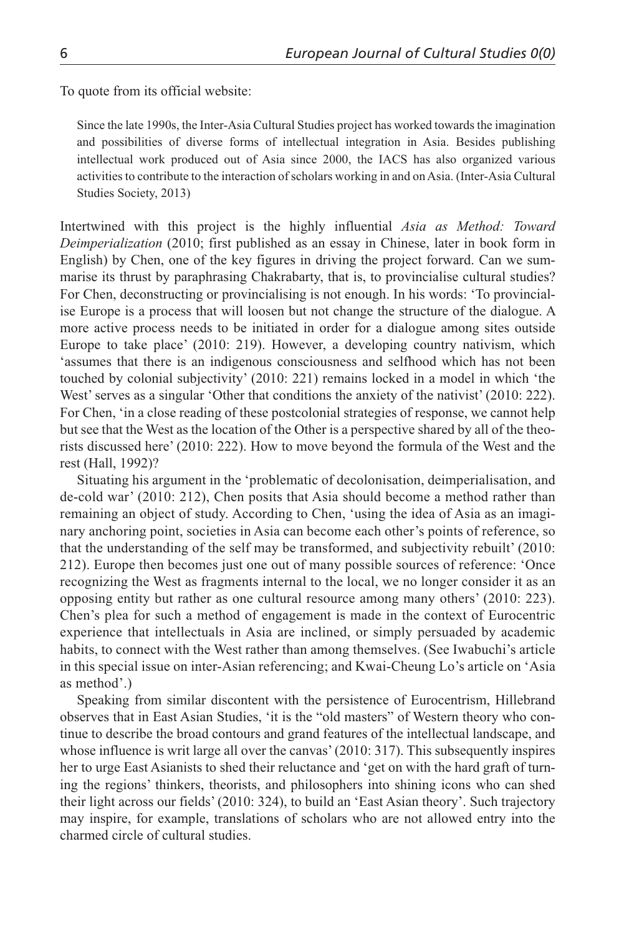To quote from its official website:

Since the late 1990s, the Inter-Asia Cultural Studies project has worked towards the imagination and possibilities of diverse forms of intellectual integration in Asia. Besides publishing intellectual work produced out of Asia since 2000, the IACS has also organized various activities to contribute to the interaction of scholars working in and on Asia. (Inter-Asia Cultural Studies Society, 2013)

Intertwined with this project is the highly influential *Asia as Method: Toward Deimperialization* (2010; first published as an essay in Chinese, later in book form in English) by Chen, one of the key figures in driving the project forward. Can we summarise its thrust by paraphrasing Chakrabarty, that is, to provincialise cultural studies? For Chen, deconstructing or provincialising is not enough. In his words: 'To provincialise Europe is a process that will loosen but not change the structure of the dialogue. A more active process needs to be initiated in order for a dialogue among sites outside Europe to take place' (2010: 219). However, a developing country nativism, which 'assumes that there is an indigenous consciousness and selfhood which has not been touched by colonial subjectivity' (2010: 221) remains locked in a model in which 'the West' serves as a singular 'Other that conditions the anxiety of the nativist' (2010: 222). For Chen, 'in a close reading of these postcolonial strategies of response, we cannot help but see that the West as the location of the Other is a perspective shared by all of the theorists discussed here' (2010: 222). How to move beyond the formula of the West and the rest (Hall, 1992)?

Situating his argument in the 'problematic of decolonisation, deimperialisation, and de-cold war' (2010: 212), Chen posits that Asia should become a method rather than remaining an object of study. According to Chen, 'using the idea of Asia as an imaginary anchoring point, societies in Asia can become each other's points of reference, so that the understanding of the self may be transformed, and subjectivity rebuilt' (2010: 212). Europe then becomes just one out of many possible sources of reference: 'Once recognizing the West as fragments internal to the local, we no longer consider it as an opposing entity but rather as one cultural resource among many others' (2010: 223). Chen's plea for such a method of engagement is made in the context of Eurocentric experience that intellectuals in Asia are inclined, or simply persuaded by academic habits, to connect with the West rather than among themselves. (See Iwabuchi's article in this special issue on inter-Asian referencing; and Kwai-Cheung Lo's article on 'Asia as method'.)

Speaking from similar discontent with the persistence of Eurocentrism, Hillebrand observes that in East Asian Studies, 'it is the "old masters" of Western theory who continue to describe the broad contours and grand features of the intellectual landscape, and whose influence is writ large all over the canvas' (2010: 317). This subsequently inspires her to urge East Asianists to shed their reluctance and 'get on with the hard graft of turning the regions' thinkers, theorists, and philosophers into shining icons who can shed their light across our fields' (2010: 324), to build an 'East Asian theory'. Such trajectory may inspire, for example, translations of scholars who are not allowed entry into the charmed circle of cultural studies.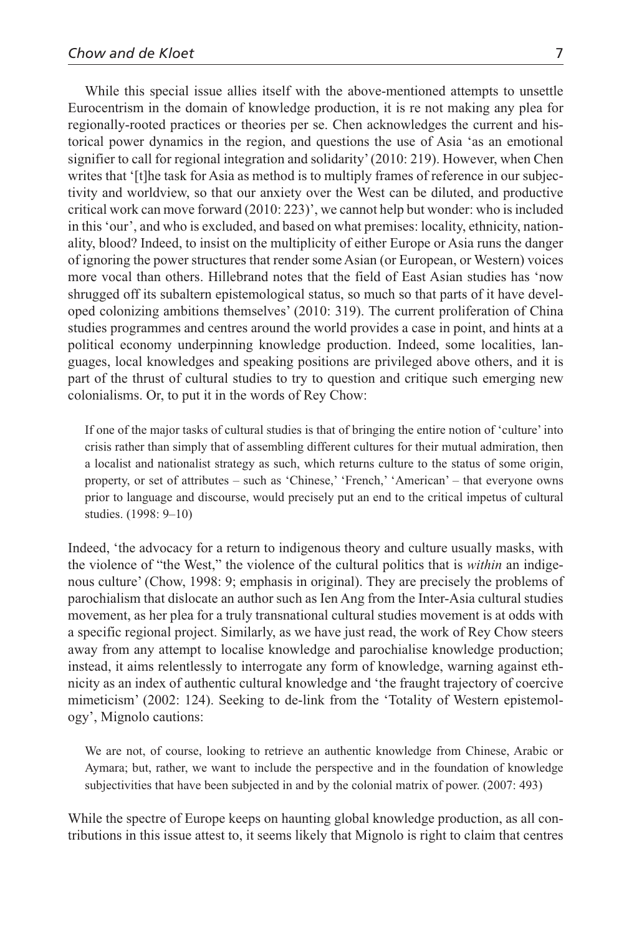While this special issue allies itself with the above-mentioned attempts to unsettle Eurocentrism in the domain of knowledge production, it is re not making any plea for regionally-rooted practices or theories per se. Chen acknowledges the current and historical power dynamics in the region, and questions the use of Asia 'as an emotional signifier to call for regional integration and solidarity' (2010: 219). However, when Chen writes that '[t]he task for Asia as method is to multiply frames of reference in our subjectivity and worldview, so that our anxiety over the West can be diluted, and productive critical work can move forward (2010: 223)', we cannot help but wonder: who is included in this 'our', and who is excluded, and based on what premises: locality, ethnicity, nationality, blood? Indeed, to insist on the multiplicity of either Europe or Asia runs the danger of ignoring the power structures that render some Asian (or European, or Western) voices more vocal than others. Hillebrand notes that the field of East Asian studies has 'now shrugged off its subaltern epistemological status, so much so that parts of it have developed colonizing ambitions themselves' (2010: 319). The current proliferation of China studies programmes and centres around the world provides a case in point, and hints at a political economy underpinning knowledge production. Indeed, some localities, languages, local knowledges and speaking positions are privileged above others, and it is part of the thrust of cultural studies to try to question and critique such emerging new colonialisms. Or, to put it in the words of Rey Chow:

If one of the major tasks of cultural studies is that of bringing the entire notion of 'culture' into crisis rather than simply that of assembling different cultures for their mutual admiration, then a localist and nationalist strategy as such, which returns culture to the status of some origin, property, or set of attributes – such as 'Chinese,' 'French,' 'American' – that everyone owns prior to language and discourse, would precisely put an end to the critical impetus of cultural studies. (1998: 9–10)

Indeed, 'the advocacy for a return to indigenous theory and culture usually masks, with the violence of "the West," the violence of the cultural politics that is *within* an indigenous culture' (Chow, 1998: 9; emphasis in original). They are precisely the problems of parochialism that dislocate an author such as Ien Ang from the Inter-Asia cultural studies movement, as her plea for a truly transnational cultural studies movement is at odds with a specific regional project. Similarly, as we have just read, the work of Rey Chow steers away from any attempt to localise knowledge and parochialise knowledge production; instead, it aims relentlessly to interrogate any form of knowledge, warning against ethnicity as an index of authentic cultural knowledge and 'the fraught trajectory of coercive mimeticism' (2002: 124). Seeking to de-link from the 'Totality of Western epistemology', Mignolo cautions:

We are not, of course, looking to retrieve an authentic knowledge from Chinese, Arabic or Aymara; but, rather, we want to include the perspective and in the foundation of knowledge subjectivities that have been subjected in and by the colonial matrix of power. (2007: 493)

While the spectre of Europe keeps on haunting global knowledge production, as all contributions in this issue attest to, it seems likely that Mignolo is right to claim that centres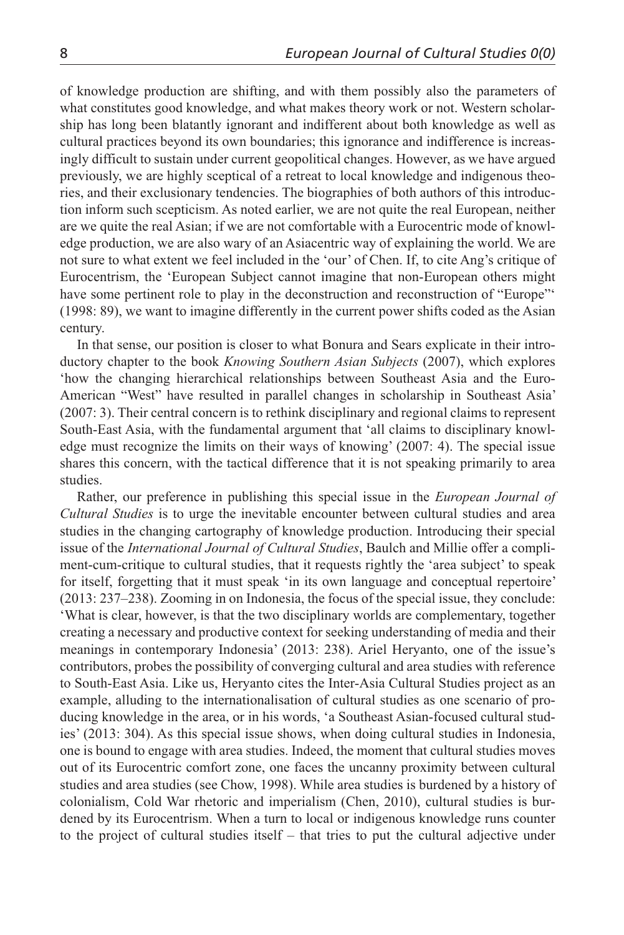of knowledge production are shifting, and with them possibly also the parameters of what constitutes good knowledge, and what makes theory work or not. Western scholarship has long been blatantly ignorant and indifferent about both knowledge as well as cultural practices beyond its own boundaries; this ignorance and indifference is increasingly difficult to sustain under current geopolitical changes. However, as we have argued previously, we are highly sceptical of a retreat to local knowledge and indigenous theories, and their exclusionary tendencies. The biographies of both authors of this introduction inform such scepticism. As noted earlier, we are not quite the real European, neither are we quite the real Asian; if we are not comfortable with a Eurocentric mode of knowledge production, we are also wary of an Asiacentric way of explaining the world. We are not sure to what extent we feel included in the 'our' of Chen. If, to cite Ang's critique of Eurocentrism, the 'European Subject cannot imagine that non-European others might have some pertinent role to play in the deconstruction and reconstruction of "Europe"' (1998: 89), we want to imagine differently in the current power shifts coded as the Asian century.

In that sense, our position is closer to what Bonura and Sears explicate in their introductory chapter to the book *Knowing Southern Asian Subjects* (2007), which explores 'how the changing hierarchical relationships between Southeast Asia and the Euro-American "West" have resulted in parallel changes in scholarship in Southeast Asia' (2007: 3). Their central concern is to rethink disciplinary and regional claims to represent South-East Asia, with the fundamental argument that 'all claims to disciplinary knowledge must recognize the limits on their ways of knowing' (2007: 4). The special issue shares this concern, with the tactical difference that it is not speaking primarily to area studies.

Rather, our preference in publishing this special issue in the *European Journal of Cultural Studies* is to urge the inevitable encounter between cultural studies and area studies in the changing cartography of knowledge production. Introducing their special issue of the *International Journal of Cultural Studies*, Baulch and Millie offer a compliment-cum-critique to cultural studies, that it requests rightly the 'area subject' to speak for itself, forgetting that it must speak 'in its own language and conceptual repertoire' (2013: 237–238). Zooming in on Indonesia, the focus of the special issue, they conclude: 'What is clear, however, is that the two disciplinary worlds are complementary, together creating a necessary and productive context for seeking understanding of media and their meanings in contemporary Indonesia' (2013: 238). Ariel Heryanto, one of the issue's contributors, probes the possibility of converging cultural and area studies with reference to South-East Asia. Like us, Heryanto cites the Inter-Asia Cultural Studies project as an example, alluding to the internationalisation of cultural studies as one scenario of producing knowledge in the area, or in his words, 'a Southeast Asian-focused cultural studies' (2013: 304). As this special issue shows, when doing cultural studies in Indonesia, one is bound to engage with area studies. Indeed, the moment that cultural studies moves out of its Eurocentric comfort zone, one faces the uncanny proximity between cultural studies and area studies (see Chow, 1998). While area studies is burdened by a history of colonialism, Cold War rhetoric and imperialism (Chen, 2010), cultural studies is burdened by its Eurocentrism. When a turn to local or indigenous knowledge runs counter to the project of cultural studies itself – that tries to put the cultural adjective under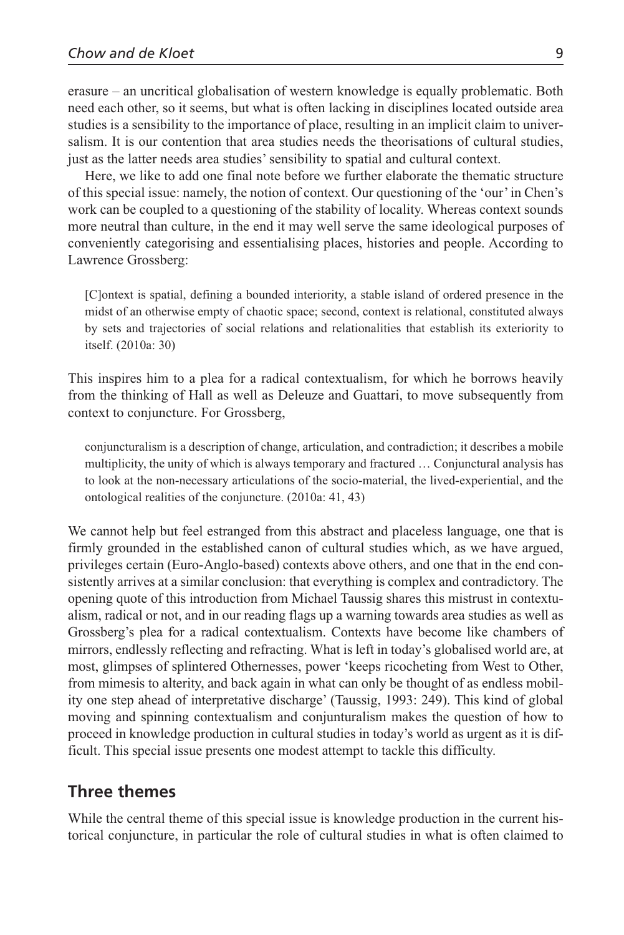erasure – an uncritical globalisation of western knowledge is equally problematic. Both need each other, so it seems, but what is often lacking in disciplines located outside area studies is a sensibility to the importance of place, resulting in an implicit claim to universalism. It is our contention that area studies needs the theorisations of cultural studies, just as the latter needs area studies' sensibility to spatial and cultural context.

Here, we like to add one final note before we further elaborate the thematic structure of this special issue: namely, the notion of context. Our questioning of the 'our' in Chen's work can be coupled to a questioning of the stability of locality. Whereas context sounds more neutral than culture, in the end it may well serve the same ideological purposes of conveniently categorising and essentialising places, histories and people. According to Lawrence Grossberg:

[C]ontext is spatial, defining a bounded interiority, a stable island of ordered presence in the midst of an otherwise empty of chaotic space; second, context is relational, constituted always by sets and trajectories of social relations and relationalities that establish its exteriority to itself. (2010a: 30)

This inspires him to a plea for a radical contextualism, for which he borrows heavily from the thinking of Hall as well as Deleuze and Guattari, to move subsequently from context to conjuncture. For Grossberg,

conjuncturalism is a description of change, articulation, and contradiction; it describes a mobile multiplicity, the unity of which is always temporary and fractured … Conjunctural analysis has to look at the non-necessary articulations of the socio-material, the lived-experiential, and the ontological realities of the conjuncture. (2010a: 41, 43)

We cannot help but feel estranged from this abstract and placeless language, one that is firmly grounded in the established canon of cultural studies which, as we have argued, privileges certain (Euro-Anglo-based) contexts above others, and one that in the end consistently arrives at a similar conclusion: that everything is complex and contradictory. The opening quote of this introduction from Michael Taussig shares this mistrust in contextualism, radical or not, and in our reading flags up a warning towards area studies as well as Grossberg's plea for a radical contextualism. Contexts have become like chambers of mirrors, endlessly reflecting and refracting. What is left in today's globalised world are, at most, glimpses of splintered Othernesses, power 'keeps ricocheting from West to Other, from mimesis to alterity, and back again in what can only be thought of as endless mobility one step ahead of interpretative discharge' (Taussig, 1993: 249). This kind of global moving and spinning contextualism and conjunturalism makes the question of how to proceed in knowledge production in cultural studies in today's world as urgent as it is difficult. This special issue presents one modest attempt to tackle this difficulty.

## **Three themes**

While the central theme of this special issue is knowledge production in the current historical conjuncture, in particular the role of cultural studies in what is often claimed to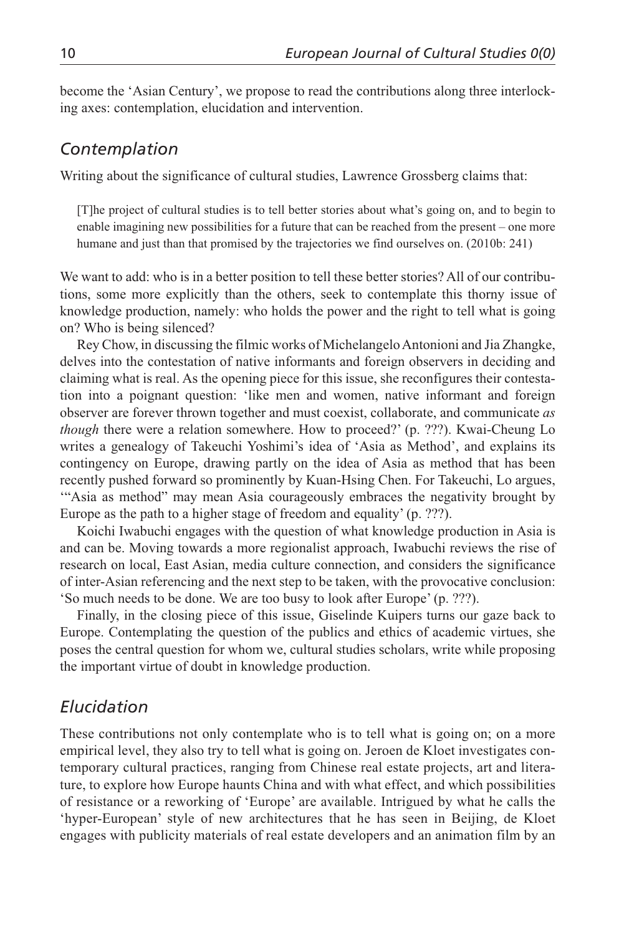become the 'Asian Century', we propose to read the contributions along three interlocking axes: contemplation, elucidation and intervention.

## *Contemplation*

Writing about the significance of cultural studies, Lawrence Grossberg claims that:

[T]he project of cultural studies is to tell better stories about what's going on, and to begin to enable imagining new possibilities for a future that can be reached from the present – one more humane and just than that promised by the trajectories we find ourselves on. (2010b: 241)

We want to add: who is in a better position to tell these better stories? All of our contributions, some more explicitly than the others, seek to contemplate this thorny issue of knowledge production, namely: who holds the power and the right to tell what is going on? Who is being silenced?

Rey Chow, in discussing the filmic works of Michelangelo Antonioni and Jia Zhangke, delves into the contestation of native informants and foreign observers in deciding and claiming what is real. As the opening piece for this issue, she reconfigures their contestation into a poignant question: 'like men and women, native informant and foreign observer are forever thrown together and must coexist, collaborate, and communicate *as though* there were a relation somewhere. How to proceed?' (p. ???). Kwai-Cheung Lo writes a genealogy of Takeuchi Yoshimi's idea of 'Asia as Method', and explains its contingency on Europe, drawing partly on the idea of Asia as method that has been recently pushed forward so prominently by Kuan-Hsing Chen. For Takeuchi, Lo argues, '"Asia as method" may mean Asia courageously embraces the negativity brought by Europe as the path to a higher stage of freedom and equality' (p. ???).

Koichi Iwabuchi engages with the question of what knowledge production in Asia is and can be. Moving towards a more regionalist approach, Iwabuchi reviews the rise of research on local, East Asian, media culture connection, and considers the significance of inter-Asian referencing and the next step to be taken, with the provocative conclusion: 'So much needs to be done. We are too busy to look after Europe' (p. ???).

Finally, in the closing piece of this issue, Giselinde Kuipers turns our gaze back to Europe. Contemplating the question of the publics and ethics of academic virtues, she poses the central question for whom we, cultural studies scholars, write while proposing the important virtue of doubt in knowledge production.

# *Elucidation*

These contributions not only contemplate who is to tell what is going on; on a more empirical level, they also try to tell what is going on. Jeroen de Kloet investigates contemporary cultural practices, ranging from Chinese real estate projects, art and literature, to explore how Europe haunts China and with what effect, and which possibilities of resistance or a reworking of 'Europe' are available. Intrigued by what he calls the 'hyper-European' style of new architectures that he has seen in Beijing, de Kloet engages with publicity materials of real estate developers and an animation film by an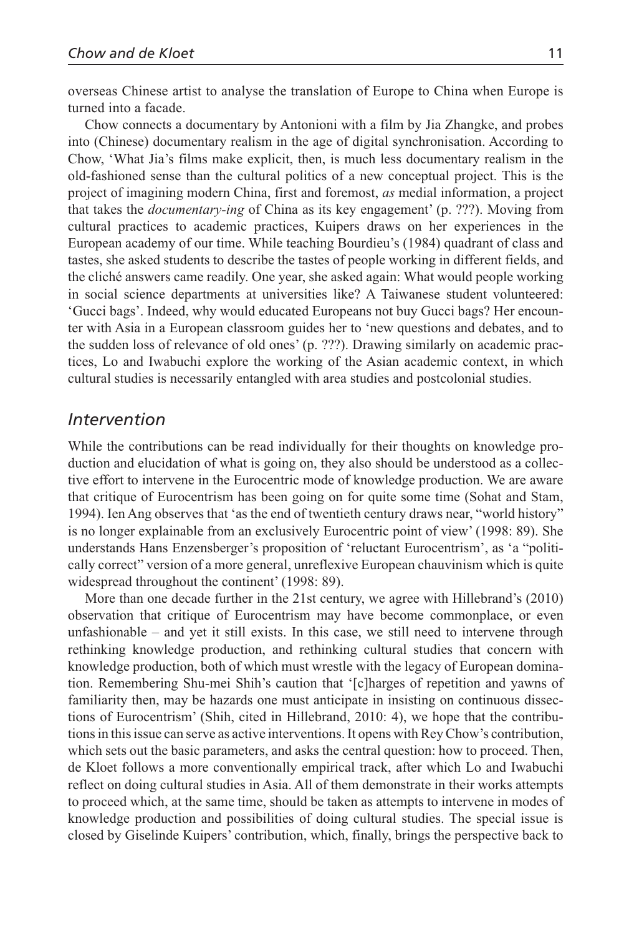overseas Chinese artist to analyse the translation of Europe to China when Europe is turned into a facade.

Chow connects a documentary by Antonioni with a film by Jia Zhangke, and probes into (Chinese) documentary realism in the age of digital synchronisation. According to Chow, 'What Jia's films make explicit, then, is much less documentary realism in the old-fashioned sense than the cultural politics of a new conceptual project. This is the project of imagining modern China, first and foremost, *as* medial information, a project that takes the *documentary-ing* of China as its key engagement' (p. ???). Moving from cultural practices to academic practices, Kuipers draws on her experiences in the European academy of our time. While teaching Bourdieu's (1984) quadrant of class and tastes, she asked students to describe the tastes of people working in different fields, and the cliché answers came readily. One year, she asked again: What would people working in social science departments at universities like? A Taiwanese student volunteered: 'Gucci bags'. Indeed, why would educated Europeans not buy Gucci bags? Her encounter with Asia in a European classroom guides her to 'new questions and debates, and to the sudden loss of relevance of old ones' (p. ???). Drawing similarly on academic practices, Lo and Iwabuchi explore the working of the Asian academic context, in which cultural studies is necessarily entangled with area studies and postcolonial studies.

#### *Intervention*

While the contributions can be read individually for their thoughts on knowledge production and elucidation of what is going on, they also should be understood as a collective effort to intervene in the Eurocentric mode of knowledge production. We are aware that critique of Eurocentrism has been going on for quite some time (Sohat and Stam, 1994). Ien Ang observes that 'as the end of twentieth century draws near, "world history" is no longer explainable from an exclusively Eurocentric point of view' (1998: 89). She understands Hans Enzensberger's proposition of 'reluctant Eurocentrism', as 'a "politically correct" version of a more general, unreflexive European chauvinism which is quite widespread throughout the continent' (1998: 89).

More than one decade further in the 21st century, we agree with Hillebrand's (2010) observation that critique of Eurocentrism may have become commonplace, or even unfashionable – and yet it still exists. In this case, we still need to intervene through rethinking knowledge production, and rethinking cultural studies that concern with knowledge production, both of which must wrestle with the legacy of European domination. Remembering Shu-mei Shih's caution that '[c]harges of repetition and yawns of familiarity then, may be hazards one must anticipate in insisting on continuous dissections of Eurocentrism' (Shih, cited in Hillebrand, 2010: 4), we hope that the contributions in this issue can serve as active interventions. It opens with Rey Chow's contribution, which sets out the basic parameters, and asks the central question: how to proceed. Then, de Kloet follows a more conventionally empirical track, after which Lo and Iwabuchi reflect on doing cultural studies in Asia. All of them demonstrate in their works attempts to proceed which, at the same time, should be taken as attempts to intervene in modes of knowledge production and possibilities of doing cultural studies. The special issue is closed by Giselinde Kuipers' contribution, which, finally, brings the perspective back to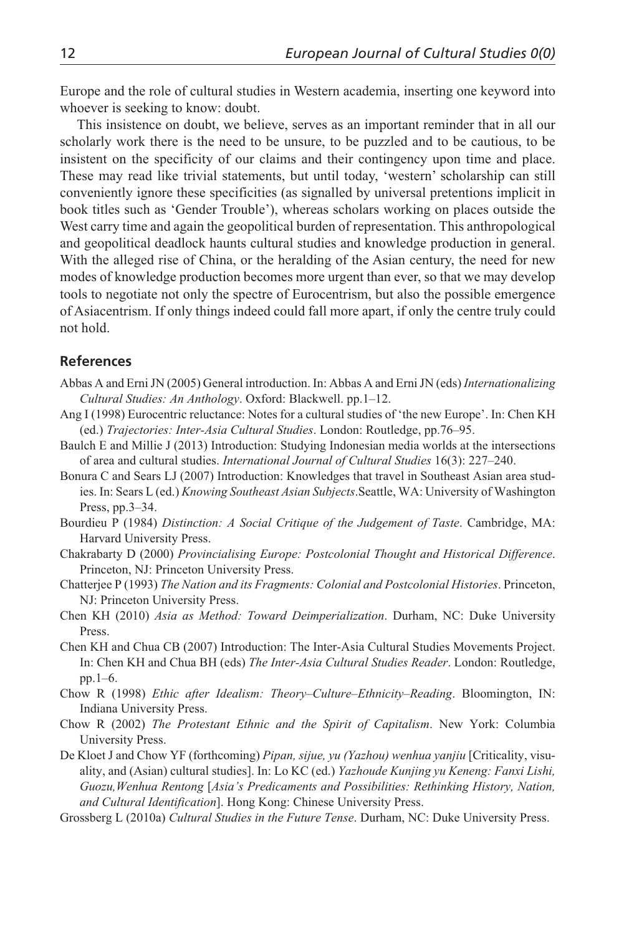Europe and the role of cultural studies in Western academia, inserting one keyword into whoever is seeking to know: doubt.

This insistence on doubt, we believe, serves as an important reminder that in all our scholarly work there is the need to be unsure, to be puzzled and to be cautious, to be insistent on the specificity of our claims and their contingency upon time and place. These may read like trivial statements, but until today, 'western' scholarship can still conveniently ignore these specificities (as signalled by universal pretentions implicit in book titles such as 'Gender Trouble'), whereas scholars working on places outside the West carry time and again the geopolitical burden of representation. This anthropological and geopolitical deadlock haunts cultural studies and knowledge production in general. With the alleged rise of China, or the heralding of the Asian century, the need for new modes of knowledge production becomes more urgent than ever, so that we may develop tools to negotiate not only the spectre of Eurocentrism, but also the possible emergence of Asiacentrism. If only things indeed could fall more apart, if only the centre truly could not hold.

#### **References**

- Abbas A and Erni JN (2005) General introduction. In: Abbas A and Erni JN (eds) *Internationalizing Cultural Studies: An Anthology*. Oxford: Blackwell. pp.1–12.
- Ang I (1998) Eurocentric reluctance: Notes for a cultural studies of 'the new Europe'. In: Chen KH (ed.) *Trajectories: Inter-Asia Cultural Studies*. London: Routledge, pp.76–95.
- Baulch E and Millie J (2013) Introduction: Studying Indonesian media worlds at the intersections of area and cultural studies. *International Journal of Cultural Studies* 16(3): 227–240.
- Bonura C and Sears LJ (2007) Introduction: Knowledges that travel in Southeast Asian area studies. In: Sears L (ed.) *Knowing Southeast Asian Subjects*.Seattle, WA: University of Washington Press, pp.3–34.
- Bourdieu P (1984) *Distinction: A Social Critique of the Judgement of Taste*. Cambridge, MA: Harvard University Press.
- Chakrabarty D (2000) *Provincialising Europe: Postcolonial Thought and Historical Difference*. Princeton, NJ: Princeton University Press.
- Chatterjee P (1993) *The Nation and its Fragments: Colonial and Postcolonial Histories*. Princeton, NJ: Princeton University Press.
- Chen KH (2010) *Asia as Method: Toward Deimperialization*. Durham, NC: Duke University Press.
- Chen KH and Chua CB (2007) Introduction: The Inter-Asia Cultural Studies Movements Project. In: Chen KH and Chua BH (eds) *The Inter-Asia Cultural Studies Reader*. London: Routledge, pp.1–6.
- Chow R (1998) *Ethic after Idealism: Theory–Culture–Ethnicity–Reading*. Bloomington, IN: Indiana University Press.
- Chow R (2002) *The Protestant Ethnic and the Spirit of Capitalism*. New York: Columbia University Press.
- De Kloet J and Chow YF (forthcoming) *Pipan, sijue, yu (Yazhou) wenhua yanjiu* [Criticality, visuality, and (Asian) cultural studies]. In: Lo KC (ed.) *Yazhoude Kunjing yu Keneng: Fanxi Lishi, Guozu,Wenhua Rentong* [*Asia's Predicaments and Possibilities: Rethinking History, Nation, and Cultural Identification*]. Hong Kong: Chinese University Press.
- Grossberg L (2010a) *Cultural Studies in the Future Tense*. Durham, NC: Duke University Press.